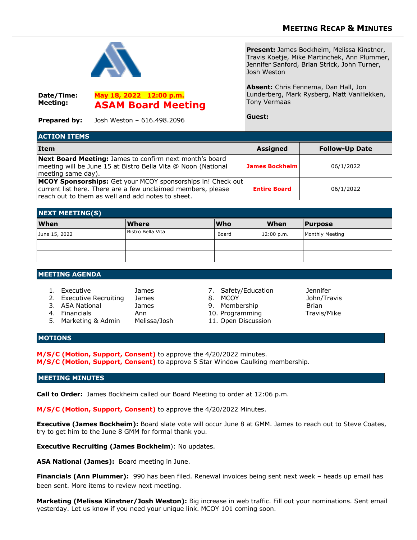

**Date/Time: Meeting:**

**Prepared by:** Josh Weston – 616.498.2096

**May 18, 2022 12:00 p.m.**

**ASAM Board Meeting**

**Present:** James Bockheim, Melissa Kinstner, Travis Koetje, Mike Martinchek, Ann Plummer, Jennifer Sanford, Brian Strick, John Turner, Josh Weston

**Absent:** Chris Fennema, Dan Hall, Jon Lunderberg, Mark Rysberg, Matt VanHekken, Tony Vermaas

**Guest:**

| <b>ACTION ITEMS</b>                                                                                                                                                              |                     |                       |  |  |
|----------------------------------------------------------------------------------------------------------------------------------------------------------------------------------|---------------------|-----------------------|--|--|
| Item                                                                                                                                                                             | <b>Assigned</b>     | <b>Follow-Up Date</b> |  |  |
| Next Board Meeting: James to confirm next month's board<br>meeting will be June 15 at Bistro Bella Vita @ Noon (National<br>meeting same day).                                   | James Bockheim      | 06/1/2022             |  |  |
| MCOY Sponsorships: Get your MCOY sponsorships in! Check out<br>current list here. There are a few unclaimed members, please<br>reach out to them as well and add notes to sheet. | <b>Entire Board</b> | 06/1/2022             |  |  |

| <b>NEXT MEETING(S)</b> |                   |            |            |                 |  |
|------------------------|-------------------|------------|------------|-----------------|--|
| <b>When</b>            | <b>Where</b>      | <b>Who</b> | When       | <b>Purpose</b>  |  |
| June 15, 2022          | Bistro Bella Vita | Board      | 12:00 p.m. | Monthly Meeting |  |
|                        |                   |            |            |                 |  |
|                        |                   |            |            |                 |  |

## **MEETING AGENDA**

- 1. Executive James 7. Safety/Education Jennifer 2. Executive Recruiting James 8. MCOY 30hn/Travis 3. ASA National James 9. Membership Brian
	- -
- 
- 
- 
- 4. Financials **Ann** 10. Programming Travis/Mike
- 5. Marketing & Admin Melissa/Josh 11. Open Discussion
- 

## **MOTIONS**

**M/S/C (Motion, Support, Consent)** to approve the 4/20/2022 minutes. **M/S/C (Motion, Support, Consent)** to approve 5 Star Window Caulking membership.

## **MEETING MINUTES**

**Call to Order:** James Bockheim called our Board Meeting to order at 12:06 p.m.

**M/S/C (Motion, Support, Consent)** to approve the 4/20/2022 Minutes.

**Executive (James Bockheim):** Board slate vote will occur June 8 at GMM. James to reach out to Steve Coates, try to get him to the June 8 GMM for formal thank you.

**Executive Recruiting (James Bockheim**): No updates.

**ASA National (James):** Board meeting in June.

**Financials (Ann Plummer):** 990 has been filed. Renewal invoices being sent next week – heads up email has been sent. More items to review next meeting.

**Marketing (Melissa Kinstner/Josh Weston):** Big increase in web traffic. Fill out your nominations. Sent email yesterday. Let us know if you need your unique link. MCOY 101 coming soon.